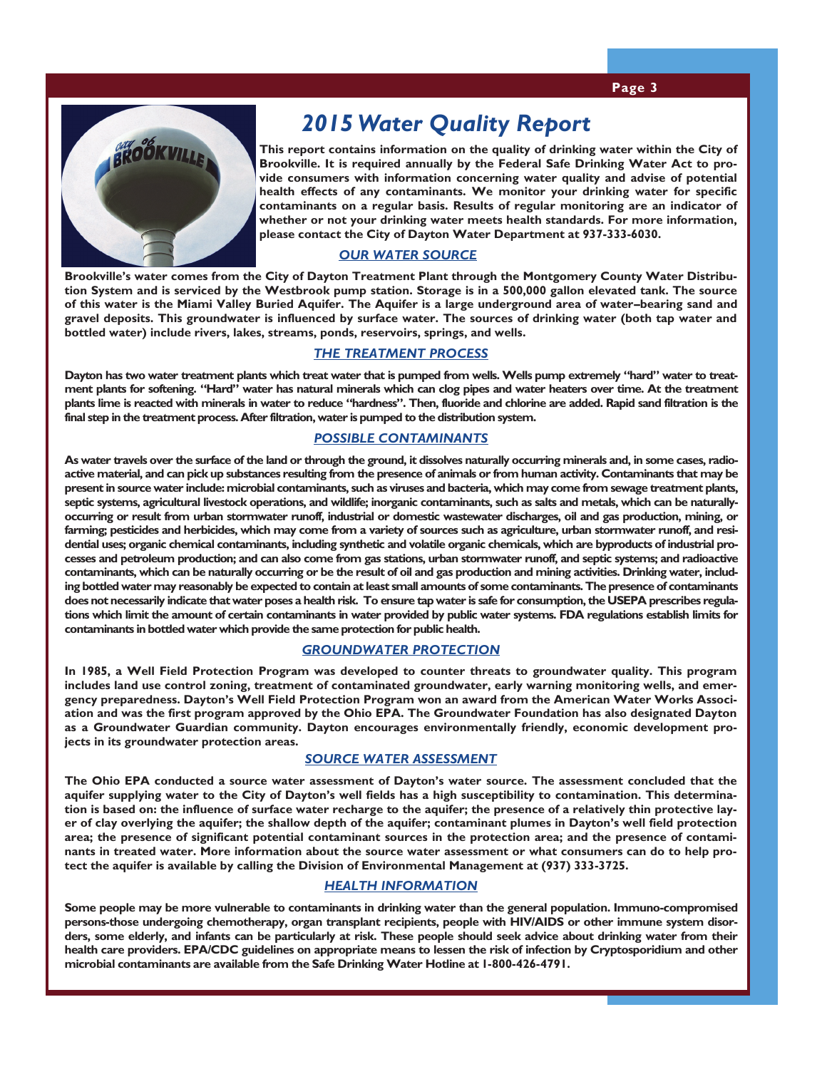

# *2015 Water Quality Report*

**This report contains information on the quality of drinking water within the City of Brookville. It is required annually by the Federal Safe Drinking Water Act to provide consumers with information concerning water quality and advise of potential health effects of any contaminants. We monitor your drinking water for specific contaminants on a regular basis. Results of regular monitoring are an indicator of whether or not your drinking water meets health standards. For more information, please contact the City of Dayton Water Department at 937-333-6030.**

### *OUR WATER SOURCE*

**Brookville's water comes from the City of Dayton Treatment Plant through the Montgomery County Water Distribution System and is serviced by the Westbrook pump station. Storage is in a 500,000 gallon elevated tank. The source of this water is the Miami Valley Buried Aquifer. The Aquifer is a large underground area of water–bearing sand and gravel deposits. This groundwater is influenced by surface water. The sources of drinking water (both tap water and bottled water) include rivers, lakes, streams, ponds, reservoirs, springs, and wells.** 

## *THE TREATMENT PROCESS*

**Dayton has two water treatment plants which treat water that is pumped from wells. Wells pump extremely "hard" water to treatment plants for softening. "Hard" water has natural minerals which can clog pipes and water heaters over time. At the treatment plants lime is reacted with minerals in water to reduce "hardness". Then, fluoride and chlorine are added. Rapid sand filtration is the final step in the treatment process. After filtration, water is pumped to the distribution system.** 

## *POSSIBLE CONTAMINANTS*

**As water travels over the surface of the land or through the ground, it dissolves naturally occurring minerals and, in some cases, radioactive material, and can pick up substances resulting from the presence of animals or from human activity. Contaminants that may be present in source water include: microbial contaminants, such as viruses and bacteria, which may come from sewage treatment plants, septic systems, agricultural livestock operations, and wildlife; inorganic contaminants, such as salts and metals, which can be naturallyoccurring or result from urban stormwater runoff, industrial or domestic wastewater discharges, oil and gas production, mining, or farming; pesticides and herbicides, which may come from a variety of sources such as agriculture, urban stormwater runoff, and residential uses; organic chemical contaminants, including synthetic and volatile organic chemicals, which are byproducts of industrial processes and petroleum production; and can also come from gas stations, urban stormwater runoff, and septic systems; and radioactive contaminants, which can be naturally occurring or be the result of oil and gas production and mining activities. Drinking water, including bottled water may reasonably be expected to contain at least small amounts of some contaminants. The presence of contaminants does not necessarily indicate that water poses a health risk. To ensure tap water is safe for consumption, the USEPA prescribes regulations which limit the amount of certain contaminants in water provided by public water systems. FDA regulations establish limits for contaminants in bottled water which provide the same protection for public health.**

### *GROUNDWATER PROTECTION*

**In 1985, a Well Field Protection Program was developed to counter threats to groundwater quality. This program includes land use control zoning, treatment of contaminated groundwater, early warning monitoring wells, and emergency preparedness. Dayton's Well Field Protection Program won an award from the American Water Works Association and was the first program approved by the Ohio EPA. The Groundwater Foundation has also designated Dayton as a Groundwater Guardian community. Dayton encourages environmentally friendly, economic development projects in its groundwater protection areas.** 

### *SOURCE WATER ASSESSMENT*

**The Ohio EPA conducted a source water assessment of Dayton's water source. The assessment concluded that the aquifer supplying water to the City of Dayton's well fields has a high susceptibility to contamination. This determination is based on: the influence of surface water recharge to the aquifer; the presence of a relatively thin protective layer of clay overlying the aquifer; the shallow depth of the aquifer; contaminant plumes in Dayton's well field protection area; the presence of significant potential contaminant sources in the protection area; and the presence of contaminants in treated water. More information about the source water assessment or what consumers can do to help protect the aquifer is available by calling the Division of Environmental Management at (937) 333-3725.**

## *HEALTH INFORMATION*

**Some people may be more vulnerable to contaminants in drinking water than the general population. Immuno-compromised persons-those undergoing chemotherapy, organ transplant recipients, people with HIV/AIDS or other immune system disorders, some elderly, and infants can be particularly at risk. These people should seek advice about drinking water from their health care providers. EPA/CDC guidelines on appropriate means to lessen the risk of infection by Cryptosporidium and other microbial contaminants are available from the Safe Drinking Water Hotline at 1-800-426-4791.**